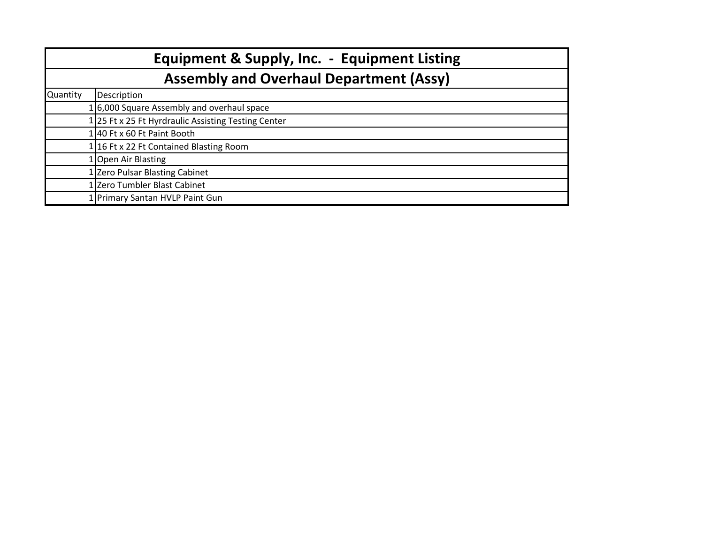| <b>Equipment &amp; Supply, Inc. - Equipment Listing</b><br><b>Assembly and Overhaul Department (Assy)</b> |                                                     |  |  |  |  |
|-----------------------------------------------------------------------------------------------------------|-----------------------------------------------------|--|--|--|--|
|                                                                                                           |                                                     |  |  |  |  |
|                                                                                                           | 16,000 Square Assembly and overhaul space           |  |  |  |  |
|                                                                                                           | 1 25 Ft x 25 Ft Hyrdraulic Assisting Testing Center |  |  |  |  |
|                                                                                                           | $1 40$ Ft x 60 Ft Paint Booth                       |  |  |  |  |
|                                                                                                           | 116 Ft x 22 Ft Contained Blasting Room              |  |  |  |  |
|                                                                                                           | 1 Open Air Blasting                                 |  |  |  |  |
|                                                                                                           | 1 Zero Pulsar Blasting Cabinet                      |  |  |  |  |
|                                                                                                           | 1 Zero Tumbler Blast Cabinet                        |  |  |  |  |
|                                                                                                           | 1 Primary Santan HVLP Paint Gun                     |  |  |  |  |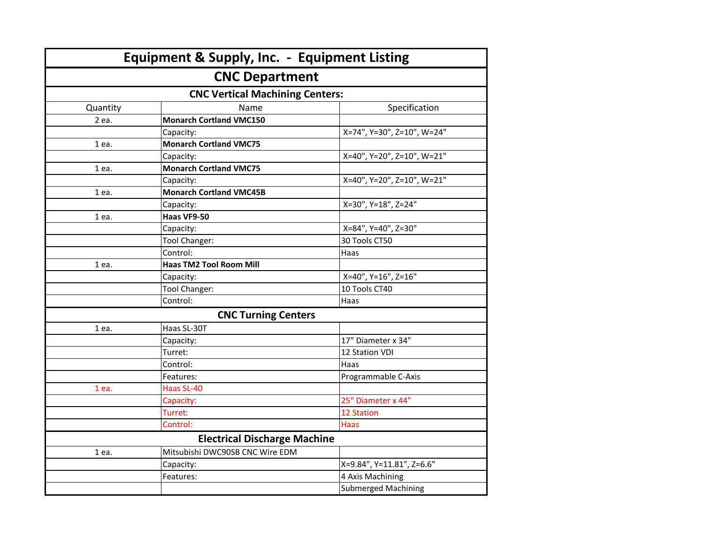|                                        | <b>Equipment &amp; Supply, Inc. - Equipment Listing</b> |                            |  |  |  |  |  |
|----------------------------------------|---------------------------------------------------------|----------------------------|--|--|--|--|--|
| <b>CNC Department</b>                  |                                                         |                            |  |  |  |  |  |
| <b>CNC Vertical Machining Centers:</b> |                                                         |                            |  |  |  |  |  |
| Quantity                               | Name                                                    | Specification              |  |  |  |  |  |
| 2 ea.                                  | <b>Monarch Cortland VMC150</b>                          |                            |  |  |  |  |  |
|                                        | Capacity:                                               | X=74", Y=30", Z=10", W=24" |  |  |  |  |  |
| 1 ea.                                  | <b>Monarch Cortland VMC75</b>                           |                            |  |  |  |  |  |
|                                        | Capacity:                                               | X=40", Y=20", Z=10", W=21" |  |  |  |  |  |
| 1 ea.                                  | <b>Monarch Cortland VMC75</b>                           |                            |  |  |  |  |  |
|                                        | Capacity:                                               | X=40", Y=20", Z=10", W=21" |  |  |  |  |  |
| 1 ea.                                  | <b>Monarch Cortland VMC45B</b>                          |                            |  |  |  |  |  |
|                                        | Capacity:                                               | X=30", Y=18", Z=24"        |  |  |  |  |  |
| 1 ea.                                  | Haas VF9-50                                             |                            |  |  |  |  |  |
|                                        | Capacity:                                               | X=84", Y=40", Z=30"        |  |  |  |  |  |
|                                        | Tool Changer:                                           | 30 Tools CT50              |  |  |  |  |  |
|                                        | Control:                                                | Haas                       |  |  |  |  |  |
| 1 ea.                                  | <b>Haas TM2 Tool Room Mill</b>                          |                            |  |  |  |  |  |
|                                        | Capacity:                                               | X=40", Y=16", Z=16"        |  |  |  |  |  |
|                                        | Tool Changer:                                           | 10 Tools CT40              |  |  |  |  |  |
|                                        | Control:                                                | Haas                       |  |  |  |  |  |
|                                        | <b>CNC Turning Centers</b>                              |                            |  |  |  |  |  |
| 1 ea.                                  | Haas SL-30T                                             |                            |  |  |  |  |  |
|                                        | Capacity:                                               | 17" Diameter x 34"         |  |  |  |  |  |
|                                        | Turret:                                                 | 12 Station VDI             |  |  |  |  |  |
|                                        | Control:                                                | Haas                       |  |  |  |  |  |
|                                        | Features:                                               | Programmable C-Axis        |  |  |  |  |  |
| 1 ea.                                  | Haas SL-40                                              |                            |  |  |  |  |  |
|                                        | Capacity:                                               | 25" Diameter x 44"         |  |  |  |  |  |
|                                        | Turret:                                                 | <b>12 Station</b>          |  |  |  |  |  |
|                                        | Control:                                                | Haas                       |  |  |  |  |  |
| <b>Electrical Discharge Machine</b>    |                                                         |                            |  |  |  |  |  |
| 1 ea.                                  | Mitsubishi DWC90SB CNC Wire EDM                         |                            |  |  |  |  |  |
|                                        | Capacity:                                               | X=9.84", Y=11.81", Z=6.6"  |  |  |  |  |  |
|                                        | Features:                                               | 4 Axis Machining           |  |  |  |  |  |
|                                        |                                                         | <b>Submerged Machining</b> |  |  |  |  |  |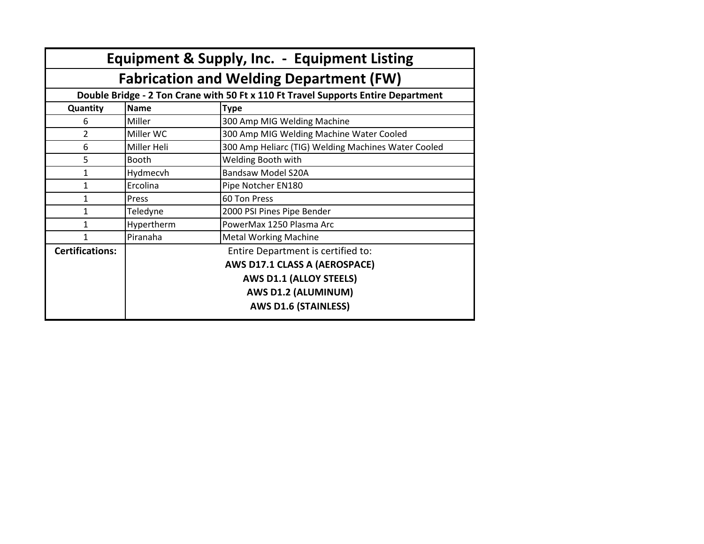| Equipment & Supply, Inc. - Equipment Listing                                      |                                    |                                                     |  |  |  |  |  |
|-----------------------------------------------------------------------------------|------------------------------------|-----------------------------------------------------|--|--|--|--|--|
| <b>Fabrication and Welding Department (FW)</b>                                    |                                    |                                                     |  |  |  |  |  |
| Double Bridge - 2 Ton Crane with 50 Ft x 110 Ft Travel Supports Entire Department |                                    |                                                     |  |  |  |  |  |
| Quantity                                                                          | <b>Name</b>                        | <b>Type</b>                                         |  |  |  |  |  |
| 6                                                                                 | Miller                             | 300 Amp MIG Welding Machine                         |  |  |  |  |  |
| 2                                                                                 | Miller WC                          | 300 Amp MIG Welding Machine Water Cooled            |  |  |  |  |  |
| 6                                                                                 | Miller Heli                        | 300 Amp Heliarc (TIG) Welding Machines Water Cooled |  |  |  |  |  |
| 5                                                                                 | <b>Booth</b>                       | Welding Booth with                                  |  |  |  |  |  |
| 1                                                                                 | Hydmecvh                           | <b>Bandsaw Model S20A</b>                           |  |  |  |  |  |
| 1                                                                                 | Ercolina                           | Pipe Notcher EN180                                  |  |  |  |  |  |
| 1                                                                                 | Press                              | 60 Ton Press                                        |  |  |  |  |  |
| 1                                                                                 | Teledyne                           | 2000 PSI Pines Pipe Bender                          |  |  |  |  |  |
| 1                                                                                 | Hypertherm                         | PowerMax 1250 Plasma Arc                            |  |  |  |  |  |
| 1                                                                                 | Piranaha                           | <b>Metal Working Machine</b>                        |  |  |  |  |  |
| <b>Certifications:</b>                                                            | Entire Department is certified to: |                                                     |  |  |  |  |  |
|                                                                                   | AWS D17.1 CLASS A (AEROSPACE)      |                                                     |  |  |  |  |  |
|                                                                                   |                                    | <b>AWS D1.1 (ALLOY STEELS)</b>                      |  |  |  |  |  |
|                                                                                   |                                    | AWS D1.2 (ALUMINUM)                                 |  |  |  |  |  |
|                                                                                   |                                    | <b>AWS D1.6 (STAINLESS)</b>                         |  |  |  |  |  |